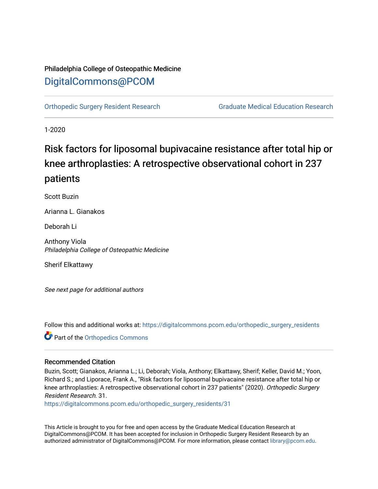## Philadelphia College of Osteopathic Medicine [DigitalCommons@PCOM](https://digitalcommons.pcom.edu/)

[Orthopedic Surgery Resident Research](https://digitalcommons.pcom.edu/orthopedic_surgery_residents) [Graduate Medical Education Research](https://digitalcommons.pcom.edu/graduate_medical_education_research) 

1-2020

## Risk factors for liposomal bupivacaine resistance after total hip or knee arthroplasties: A retrospective observational cohort in 237 patients

Scott Buzin

Arianna L. Gianakos

Deborah Li

Anthony Viola Philadelphia College of Osteopathic Medicine

Sherif Elkattawy

See next page for additional authors

Follow this and additional works at: [https://digitalcommons.pcom.edu/orthopedic\\_surgery\\_residents](https://digitalcommons.pcom.edu/orthopedic_surgery_residents?utm_source=digitalcommons.pcom.edu%2Forthopedic_surgery_residents%2F31&utm_medium=PDF&utm_campaign=PDFCoverPages) 

**Part of the [Orthopedics Commons](http://network.bepress.com/hgg/discipline/696?utm_source=digitalcommons.pcom.edu%2Forthopedic_surgery_residents%2F31&utm_medium=PDF&utm_campaign=PDFCoverPages)** 

## Recommended Citation

Buzin, Scott; Gianakos, Arianna L.; Li, Deborah; Viola, Anthony; Elkattawy, Sherif; Keller, David M.; Yoon, Richard S.; and Liporace, Frank A., "Risk factors for liposomal bupivacaine resistance after total hip or knee arthroplasties: A retrospective observational cohort in 237 patients" (2020). Orthopedic Surgery Resident Research. 31.

[https://digitalcommons.pcom.edu/orthopedic\\_surgery\\_residents/31](https://digitalcommons.pcom.edu/orthopedic_surgery_residents/31?utm_source=digitalcommons.pcom.edu%2Forthopedic_surgery_residents%2F31&utm_medium=PDF&utm_campaign=PDFCoverPages)

This Article is brought to you for free and open access by the Graduate Medical Education Research at DigitalCommons@PCOM. It has been accepted for inclusion in Orthopedic Surgery Resident Research by an authorized administrator of DigitalCommons@PCOM. For more information, please contact [library@pcom.edu](mailto:library@pcom.edu).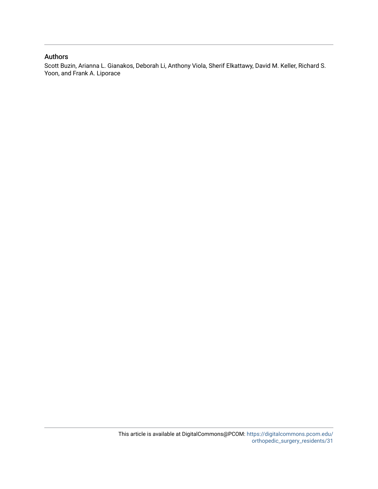## Authors

Scott Buzin, Arianna L. Gianakos, Deborah Li, Anthony Viola, Sherif Elkattawy, David M. Keller, Richard S. Yoon, and Frank A. Liporace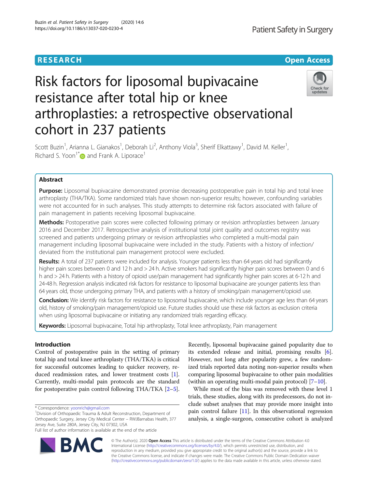Patient Safety in Surgery



# Risk factors for liposomal bupivacaine resistance after total hip or knee arthroplasties: a retrospective observational cohort in 237 patients



Scott Buzin<sup>1</sup>, Arianna L. Gianakos<sup>1</sup>, Deborah Li<sup>2</sup>, Anthony Viola<sup>3</sup>, Sherif Elkattawy<sup>1</sup>, David M. Keller<sup>1</sup> , Richard S. Yoon<sup>1[\\*](http://orcid.org/0000-0001-5240-6633)</sup> and Frank A. Liporace<sup>1</sup>

## Abstract

**Purpose:** Liposomal bupivacaine demonstrated promise decreasing postoperative pain in total hip and total knee arthroplasty (THA/TKA). Some randomized trials have shown non-superior results; however, confounding variables were not accounted for in such analyses. This study attempts to determine risk factors associated with failure of pain management in patients receiving liposomal bupivacaine.

Methods: Postoperative pain scores were collected following primary or revision arthroplasties between January 2016 and December 2017. Retrospective analysis of institutional total joint quality and outcomes registry was screened and patients undergoing primary or revision arthroplasties who completed a multi-modal pain management including liposomal bupivacaine were included in the study. Patients with a history of infection/ deviated from the institutional pain management protocol were excluded.

Results: A total of 237 patients were included for analysis. Younger patients less than 64 years old had significantly higher pain scores between 0 and 12 h and > 24 h. Active smokers had significantly higher pain scores between 0 and 6 h and > 24 h. Patients with a history of opioid use/pain management had significantly higher pain scores at 6-12 h and 24-48 h. Regression analysis indicated risk factors for resistance to liposomal bupivacaine are younger patients less than 64 years old, those undergoing primary THA, and patients with a history of smoking/pain management/opioid use.

Conclusion: We identify risk factors for resistance to liposomal bupivacaine, which include younger age less than 64 years old, history of smoking/pain management/opioid use. Future studies should use these risk factors as exclusion criteria when using liposomal bupivacaine or initiating any randomized trials regarding efficacy.

Keywords: Liposomal bupivacaine, Total hip arthroplasty, Total knee arthroplasty, Pain management

## Introduction

Control of postoperative pain in the setting of primary total hip and total knee arthroplasty (THA/TKA) is critical for successful outcomes leading to quicker recovery, reduced readmission rates, and lower treatment costs [[1](#page-9-0)]. Currently, multi-modal pain protocols are the standard for postoperative pain control following THA/TKA [[2](#page-9-0)–[5](#page-9-0)].

\* Correspondence: [yoonrich@gmail.com](mailto:yoonrich@gmail.com) <sup>1</sup>

Recently, liposomal bupivacaine gained popularity due to its extended release and initial, promising results [[6](#page-9-0)]. However, not long after popularity grew, a few randomized trials reported data noting non-superior results when comparing liposomal bupivacaine to other pain modalities (within an operating multi-modal pain protocol)  $[7-10]$  $[7-10]$  $[7-10]$ .

While most of the bias was removed with these level 1 trials, these studies, along with its predecessors, do not include subset analyses that may provide more insight into pain control failure  $[11]$ . In this observational regression analysis, a single-surgeon, consecutive cohort is analyzed



© The Author(s). 2020 **Open Access** This article is distributed under the terms of the Creative Commons Attribution 4.0 International License [\(http://creativecommons.org/licenses/by/4.0/](http://creativecommons.org/licenses/by/4.0/)), which permits unrestricted use, distribution, and reproduction in any medium, provided you give appropriate credit to the original author(s) and the source, provide a link to the Creative Commons license, and indicate if changes were made. The Creative Commons Public Domain Dedication waiver [\(http://creativecommons.org/publicdomain/zero/1.0/](http://creativecommons.org/publicdomain/zero/1.0/)) applies to the data made available in this article, unless otherwise stated.

<sup>&</sup>lt;sup>1</sup> Division of Orthopaedic Trauma & Adult Reconstruction, Department of Orthopaedic Surgery, Jersey City Medical Center – RWJBarnabas Health, 377 Jersey Ave, Suite 280A, Jersey City, NJ 07302, USA Full list of author information is available at the end of the article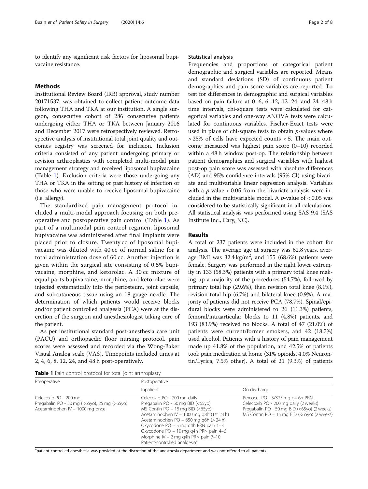to identify any significant risk factors for liposomal bupivacaine resistance.

#### Methods

Institutional Review Board (IRB) approval, study number 20171537, was obtained to collect patient outcome data following THA and TKA at our institution. A single surgeon, consecutive cohort of 286 consecutive patients undergoing either THA or TKA between January 2016 and December 2017 were retrospectively reviewed. Retrospective analysis of institutional total joint quality and outcomes registry was screened for inclusion. Inclusion criteria consisted of any patient undergoing primary or revision arthroplasties with completed multi-modal pain management strategy and received liposomal bupivacaine (Table 1). Exclusion criteria were those undergoing any THA or TKA in the setting or past history of infection or those who were unable to receive liposomal bupivacaine (i.e. allergy).

The standardized pain management protocol included a multi-modal approach focusing on both preoperative and postoperative pain control (Table 1). As part of a multimodal pain control regimen, liposomal bupivacaine was administered after final implants were placed prior to closure. Twenty cc of liposomal bupivacaine was diluted with 40 cc of normal saline for a total administration dose of 60 cc. Another injection is given within the surgical site consisting of 0.5% bupivacaine, morphine, and ketorolac. A 30 cc mixture of equal parts bupivacaine, morphine, and ketorolac were injected systematically into the periosteum, joint capsule, and subcutaneous tissue using an 18-guage needle. The determination of which patients would receive blocks and/or patient controlled analgesia (PCA) were at the discretion of the surgeon and anesthesiologist taking care of the patient.

As per institutional standard post-anesthesia care unit (PACU) and orthopaedic floor nursing protocol, pain scores were assessed and recorded via the Wong-Baker Visual Analog scale (VAS). Timepoints included times at 2, 4, 6, 8, 12, 24, and 48 h post-operatively.

#### Statistical analysis

Frequencies and proportions of categorical patient demographic and surgical variables are reported. Means and standard deviations (SD) of continuous patient demographics and pain score variables are reported. To test for differences in demographic and surgical variables based on pain failure at 0–6, 6–12, 12–24, and 24–48 h time intervals, chi-square tests were calculated for categorical variables and one-way ANOVA tests were calculated for continuous variables. Fischer-Exact tests were used in place of chi-square tests to obtain  $p$ -values where > 25% of cells have expected counts < 5. The main outcome measured was highest pain score (0–10) recorded within a 48 h window post-op. The relationship between patient demographics and surgical variables with highest post-op pain score was assessed with absolute differences (AD) and 95% confidence intervals (95% CI) using bivariate and multivariable linear regression analysis. Variables with a *p*-value  $< 0.05$  from the bivariate analysis were included in the multivariable model. A  $p$ -value of  $< 0.05$  was considered to be statistically significant in all calculations. All statistical analysis was performed using SAS 9.4 (SAS Institute Inc., Cary, NC).

#### Results

A total of 237 patients were included in the cohort for analysis. The average age at surgery was 62.8 years, average BMI was  $32.4 \text{ kg/m}^2$ , and  $155$  (68.6%) patients were female. Surgery was performed in the right lower extremity in 133 (58.3%) patients with a primary total knee making up a majority of the procedures (54.7%), followed by primary total hip (29.6%), then revision total knee (8.1%), revision total hip (6.7%) and bilateral knee (0.9%). A majority of patients did not receive PCA (78.7%). Spinal/epidural blocks were administered to 26 (11.3%) patients, femoral/intraarticular blocks to 11 (4.8%) patients, and 193 (83.9%) received no blocks. A total of 47 (21.0%) of patients were current/former smokers, and 42 (18.7%) used alcohol. Patients with a history of pain management made up 41.8% of the population, and 42.5% of patients took pain medication at home (31% opioids, 4.0% Neurontin/Lyrica, 7.5% other). A total of 21 (9.3%) of patients

Table 1 Pain control protocol for total joint arthroplasty

| Preoperative                                                                                             | Postoperative                                                                                                                                                                                                                                                                                                                                                                  |                                                                                                                                                                        |
|----------------------------------------------------------------------------------------------------------|--------------------------------------------------------------------------------------------------------------------------------------------------------------------------------------------------------------------------------------------------------------------------------------------------------------------------------------------------------------------------------|------------------------------------------------------------------------------------------------------------------------------------------------------------------------|
|                                                                                                          | Inpatient                                                                                                                                                                                                                                                                                                                                                                      | On discharge                                                                                                                                                           |
| Celecoxib PO - 200 mg<br>Pregabalin PO - 50 mg (<65yo), 25 mg (>65yo)<br>Acetaminophen IV - 1000 mg once | Celecoxib PO - 200 mg daily<br>Pregabalin PO - 50 mg BID (<65yo)<br>MS Contin $PO - 15$ mg BID (<65yo)<br>Acetaminophen IV - 1000 mg g8h (1st 24 h)<br>Acetaminophen PO - 650 mg q6h (> 24 h)<br>Oxycodone PO - 5 mg q4h PRN pain 1-3<br>Oxycodone PO - 10 mg g4h PRN pain 4-6<br>Morphine IV - $2 \text{ mg q4h PRN pain } 7-10$<br>Patient-controlled analgesia <sup>a</sup> | Percocet PO - 5/325 mg g4-6h PRN<br>Celecoxib PO - 200 mg daily (2 weeks)<br>Pregabalin PO - 50 mg BID (<65yo) (2 weeks)<br>MS Contin PO - 15 mg BID (<65yo) (2 weeks) |

<sup>a</sup>patient-controlled anesthesia was provided at the discretion of the anesthesia department and was not offered to all patients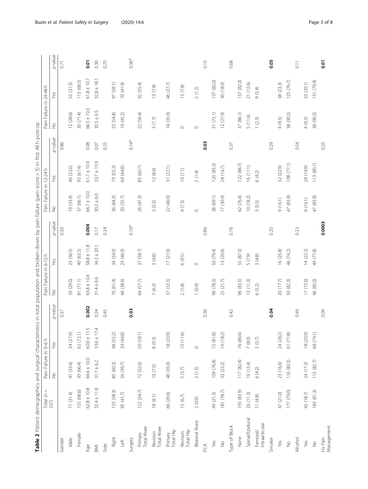| ς<br>ℷ<br>I<br>١                       |
|----------------------------------------|
| ī<br>i                                 |
| ١<br>ł<br>١<br>l                       |
|                                        |
| I<br>ł                                 |
| ž                                      |
| $\frac{1}{2}$<br>$\bar{a}$             |
| ׇ֦֚֘֝<br>į                             |
| ţ                                      |
| ί<br>J<br>١                            |
|                                        |
| J<br>ğ<br>l                            |
| ξ<br>i<br>ź                            |
| I<br>ļ                                 |
| l<br>j                                 |
| S<br>ž                                 |
| Ì<br>1<br>j<br>j                       |
| J                                      |
| ल                                      |
| ļ                                      |
| i<br>j<br>ļ<br>ž                       |
| ś                                      |
| $\overline{c}$                         |
| $\ddot{\phantom{a}}$<br>ś              |
| S<br>Ï<br>١<br>ŝ                       |
| ٦                                      |
| ١<br>ā,<br>ļ                           |
| Ś<br>J<br>ć                            |
| ì<br>$\overline{\mathbf{C}}$<br>Į      |
| ₹                                      |
| Ś<br>5<br>d                            |
| ļ                                      |
| Ò<br>J                                 |
| ä<br>j<br>֬֕                           |
| Ś<br>١<br>֦                            |
| ć<br>I<br>$\overline{\mathbf{C}}$<br>ℷ |
| j                                      |
| total                                  |
|                                        |
| $\subseteq$                            |
| i<br>j<br>ׇ֠                           |
| トリンパ                                   |
| j<br>ī<br>j                            |
| $\frac{1}{2}$<br>j<br>ś<br>ī           |
| $\overline{\phantom{a}}$<br>d          |
| I<br>j<br>í                            |
| ₹<br>i                                 |
| i<br>j                                 |
| ł<br>٢<br>١<br>i.<br>i                 |
| ī<br>ŕ                                 |
| $\overline{\zeta}$<br>$\overline{2}$   |
| Ç<br>$\overline{\sigma}$<br>l          |
| Ĵ                                      |
| ט<br>סח                                |
|                                        |
| i                                      |
|                                        |
|                                        |
|                                        |
|                                        |
|                                        |
|                                        |
|                                        |
|                                        |
| ë                                      |
| ī                                      |
|                                        |

<span id="page-4-0"></span>

|                            | Total ( $n = 237$ ) | Pain Failure in 0-6h |                 |         | Pain Failure in 6-12h |                 |         | Pain Failure in 12-24 h |                 |         | Pain Failure in 24-48 h |                 |                |
|----------------------------|---------------------|----------------------|-----------------|---------|-----------------------|-----------------|---------|-------------------------|-----------------|---------|-------------------------|-----------------|----------------|
|                            |                     | $\frac{1}{2}$        | Yes             | p-value | $\tilde{z}$           | Yes             | p-value | $\frac{1}{2}$           | Yes             | p-value | $\frac{1}{2}$           | Yes             | p-value        |
| Gender                     |                     |                      |                 | 0.37    |                       |                 | 0.30    |                         |                 | 0.86    |                         |                 | 0.71           |
| Male                       | 71 (31.4)           | 47 (33.6)            | 24 (27.9)       |         | 33 (29.0)             | 23 (36.5)       |         | 19 (33.9)               | 46 (32.6)       |         | 12 (28.6)               | 52 (31.5)       |                |
| Female                     | 155 (68.6)          | 93 (66.4)            | 62 (72.1)       |         | 81(71.1)              | 40 (63.5)       |         | 37 (66.1)               | 95 (67.4)       |         | 30 (71.4)               | 113 (68.5)      |                |
| Age                        | $62.8 \pm 10.8$     | $64.6 \pm 10.0$      | $60.0 \pm 11.5$ | 0.002   | $63.8 \pm 10.4$       | $58.8 \pm 11.8$ | 0.004   | $64.7 \pm 10.0$         | $61.7 \pm 10.9$ | 0.08    | $66.5 \pm 10.3$         | $61.8 \pm 10.7$ | $\overline{0}$ |
| BMI                        | $32.4 \pm 11.8$     | $31.7 \pm 6.2$       | $33.6 \pm 17.4$ | 0.24    | $31.4 \pm 6.6$        | $34.2 \pm 20.1$ | 0.17    | $30.2 \pm 6.0$          | $33.7 \pm 13.9$ | 0.07    | $30.5 \pm 6.5$          | $32.8 \pm 18.1$ | 0.30           |
| Side                       |                     |                      |                 | 0.45    |                       |                 | 0.34    |                         |                 | 0.25    |                         |                 | 0.70           |
| Right                      | 133 (58.3)          | 85 (60.3)            | 48 (55.2)       |         | 70 (61.4)             | 34 (54.0)       |         | 36 (64.3)               | 79 (55.2)       |         | 23 (54.8)               | 97 (58.1)       |                |
| Left                       | 95 (41.7)           | 56 (39.7)            | 39 (44.8)       |         | 44 (38.6)             | 29 (46.0)       |         | 20(35.7)                | 64 (44.8)       |         | 19(45.2)                | 70 (41.9)       |                |
| Surgery                    |                     |                      |                 | 0.03    |                       |                 | $0.16*$ |                         |                 | $0.14*$ |                         |                 | $0.36*$        |
| Total Knee<br>Primary      | 122(54.7)           | 72 (52.6)            | 50 (58.1)       |         | 64 (57.7)             | 37(58.7)        |         | 26 (47.3)               | 85 (60.7)       |         | 22 (56.4)               | 92 (55.4)       |                |
| Total Knee<br>Revision     | 18(8.1)             | 10(7.3)              | 8(9.3)          |         | 7(6.3)                | 3(4.8)          |         | 3(5.5)                  | 12(8.6)         |         | $3(7.7)$                | 13(7.8)         |                |
| Total Hip<br>Primary       | 66 (29.6)           | 48 (35.0)            | 18 (20.9)       |         | 37(33.3)              | 17(27.0)        |         | 22 (40.0)               | 31 (22.1)       |         | 14 (35.9)               | 46 (27.7)       |                |
| Total Hip<br>Revision      | 15(6.7)             | 5 (3.7)              | 10(11.6)        |         | $2(1.8)$              | 6(9.5)          |         | 4(7.3)                  | 10(7.1)         |         | $\circ$                 | 13 (7.8)        |                |
| Bilateral Knee             | 2(0.9)              | 2(1.5)               | $\circ$         |         | (0.9)                 | $\circ$         |         | $\circ$                 | 2(1.4)          |         | $\circ$                 | 2(1.2)          |                |
| PCA                        |                     |                      |                 | 0.36    |                       |                 | 0.86    |                         |                 | 0.03    |                         |                 | 0.15           |
| Yes                        | 49 (21.3)           | 109 (76.8)           | 72(81.8)        |         | 90 (78.3)             | 50 (79.4)       |         | 38 (69.1)               | 120(83.3)       |         | 31 (72.1)               | 137 (82.0)      |                |
| $\frac{1}{2}$              | 181 (78.7)          | 33 (23.2)            | 16(18.2)        |         | 25(21.7)              | 13 (20.6)       |         | 17 (30.9)               | 24 (16.7)       |         | 12(27.9)                | 30 (18.0)       |                |
| Type of Block              |                     |                      |                 | 0.42    |                       |                 | 0.76    |                         |                 | 0.37    |                         |                 | 0.68           |
| None                       | 193 (83.9)          | 117(82.4)            | 76 (86.4)       |         | 96 (83.5)             | 55 (87.3)       |         | 42 (76.4)               | 122 (84.7)      |         | 37 (86.1)               | 137 (82.0)      |                |
| Spinal/Epidural            | 26(11.3)            | 19 (13.4)            | 7(8.0)          |         | 13(11.3)              | 5(7.9)          |         | 10(18.2)                | 16(11.1)        |         | 5(11.6)                 | 21 (12.6)       |                |
| Intraarticular<br>Femoral/ | 11(4.8)             | 6(4.2)               | 5 (5.7)         |         | 6(5.2)                | 3(4.8)          |         | 3(5.5)                  | 6(4.2)          |         | 1(2.3)                  | 9 (5.4)         |                |
| Smoker                     |                     |                      |                 | 0.04    |                       |                 | 0.20    |                         |                 | 0.29    |                         |                 | 0.05           |
| Yes                        | 47 (21.0)           | 23 (16.6)            | 24(28.2)        |         | 20(17.7)              | 16 (25.8)       |         | 9(16.1)                 | 32 (22.9)       |         | 4(9.5)                  | 38 (23.3)       |                |
| $\frac{1}{2}$              | 177 (79.0)          | 116 (83.5)           | 61 (71.8)       |         | 93 (82.3)             | 46 (74.2)       |         | 47 (83.9)               | 108 (77.1)      |         | 38 (90.5)               | 125 (76.7)      |                |
| Alcohol                    |                     |                      |                 | 0.49    |                       |                 | 0.23    |                         |                 | 0.54    |                         |                 | 0.11           |
| Yes                        | 42 (18.7)           | 24 (17.3)            | 18 (20.9)       |         | 17 (15.0)             | 14(22.2)        |         | 9(16.1)                 | 28 (19.9)       |         | 4(9.5)                  | 33 (20.1)       |                |
| $\frac{1}{2}$              | 183(81.3)           | 115(82.7)            | 68 (79.1)       |         | 96 (85.0)             | 49 (77.8)       |         | 47 (83.9)               | 113 (80.1)      |         | 38 (90.5)               | 131 (79.9)      |                |
| Management<br>Hx Pain      |                     |                      |                 | 0.09    |                       |                 | 0.0003  |                         |                 | 0.25    |                         |                 | $\overline{0}$ |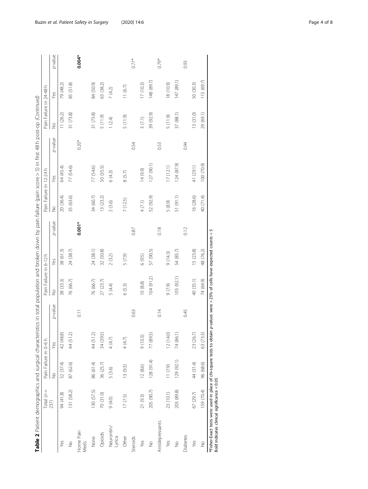| Table 2 Patient demographics and surgical characteristics in total population and broken down by pain failure (pain score > 5) in first 48 h post-op (Continued) |                     |                      |           |                  |                                                       |           |          |                         |             |         |                         |            |          |
|------------------------------------------------------------------------------------------------------------------------------------------------------------------|---------------------|----------------------|-----------|------------------|-------------------------------------------------------|-----------|----------|-------------------------|-------------|---------|-------------------------|------------|----------|
|                                                                                                                                                                  | Total ( $n = 237$ ) | Pain Failure in 0-6h |           |                  | Pain Failure in 6-12h                                 |           |          | Pain Failure in 12-24 h |             |         | Pain Failure in 24-48 h |            |          |
|                                                                                                                                                                  |                     | $\frac{1}{2}$        | Yes       | p-value          | $\frac{1}{2}$                                         | Yes       | p-value  | $\frac{1}{2}$           | Yes         | p-value | $\frac{1}{2}$           | Yes        | p-value  |
| Yes                                                                                                                                                              | 94 (41.8)           | 52 (37.4)            | 42 (48.8) |                  | 38 (33.3)                                             | 38 (61.3) |          | 20 (36.4)               | 64 (45.4)   |         | 11(26.2)                | 79 (48.2)  |          |
| $\frac{1}{2}$                                                                                                                                                    | 131 (58.2)          | 87 (62.6)            | 44 (51.2) |                  | 76 (66.7)                                             | 24 (38.7) |          | 35 (63.6)               | 77 (54.6)   |         | 31 (73.8)               | 85 (51.8)  |          |
| Home Pain<br><b>Meds</b>                                                                                                                                         |                     |                      |           | $\overline{0}$ . |                                                       |           | $0.001*$ |                         |             | $0.20*$ |                         |            | $0.004*$ |
| None                                                                                                                                                             | 130 (57.5)          | 86 (61.4)            | 44 (51.2) |                  | 76 (66.7)                                             | 24 (38.1) |          | 34 (60.7)               | 77 (54.6)   |         | 31 (73.8)               | 84 (50.9)  |          |
| Opioids                                                                                                                                                          | 70 (31.0)           | 36 (25.7)            | 34 (39.5) |                  | 27(23.7)                                              | 32 (50.8) |          | 13 (23.2)               | 50 (35.5)   |         | 5(11.9)                 | 63 (38.2)  |          |
| Neurontin/<br>Lyrica                                                                                                                                             | (0.40)              | 5 (3.6)              | 4 (4.7)   |                  | 5 (4.4)                                               | 2(3.2)    |          | 2(3.6)                  | 6(4.3)      |         | 1(2.4)                  | 7(4.2)     |          |
| Other                                                                                                                                                            | 17(7.5)             | 13 (9.3)             | 4(4.7)    |                  | 6(5.3)                                                | 5 (7.9)   |          | 7(12.5)                 | 8 (5.7)     |         | 5(11.9)                 | 11(6.7)    |          |
| Steroids                                                                                                                                                         |                     |                      |           | 0.63             |                                                       |           | 0.87     |                         |             | 0.54    |                         |            | $0.77*$  |
| Yes                                                                                                                                                              | 21(9.3)             | 12(8.6)              | 9(10.5)   |                  | 10(8.8)                                               | 6(9.5)    |          | 4(7.1)                  | $(6.6)$ $H$ |         | 3(7.1)                  | 17(10.3)   |          |
| $\frac{1}{2}$                                                                                                                                                    | 205 (90.7)          | 128(91.4)            | 77 (89.5) |                  | 104(91.2)                                             | 57 (90.5) |          | 52 (92.9)               | 127 (90.1)  |         | 39 (92.9)               | 148 (89.7) |          |
| Antidepressants                                                                                                                                                  |                     |                      |           | 0.14             |                                                       |           | 0.18     |                         |             | 0.53    |                         |            | $0.79*$  |
| Yes                                                                                                                                                              | 23 (10.1)           | 11(7.9)              | 12(14.0)  |                  | (6.7)6                                                | 9(14.3)   |          | 5 (8.9)                 | 17(12.1)    |         | 5(11.9)                 | 18 (10.9)  |          |
| $\frac{6}{2}$                                                                                                                                                    | 203 (89.8)          | 129 (92.1)           | 74 (86.1) |                  | 105 (92.1)                                            | 54 (85.7) |          | 51 (91.1)               | 124 (87.9)  |         | 37 (88.1)               | 147 (89.1) |          |
| <b>Diabetes</b>                                                                                                                                                  |                     |                      |           | 0.45             |                                                       |           | 0.12     |                         |             | 0.94    |                         |            | 0.93     |
| Yes                                                                                                                                                              | 67 (29.7)           | 44 (31.4)            | 23 (26.7) |                  | 40 (35.1)                                             | 15 (23.8) |          | 16 (28.6)               | 41 (29.1)   |         | 13 (31.0)               | 50 (30.3)  |          |
| $\frac{1}{2}$                                                                                                                                                    | 159 (70.4)          | 96 (68.6)            | 63 (73.3) |                  | 74 (64.9)                                             | 48 (76.2) |          | 40 (71.4)               | 100 (70.9)  |         | 29 (69.1)               | 115(69.7)  |          |
| *Fisher-Exact tests were used in place of chi-square tests to obtain<br>Bold indicates clinical significance $< 0.05$                                            |                     |                      |           |                  | p-values were > 25% of cells have expected counts < 5 |           |          |                         |             |         |                         |            |          |

Buzin et al. Patient Safety in Surgery (2020) 14:6 example 3 and 2008 and 2012 01:46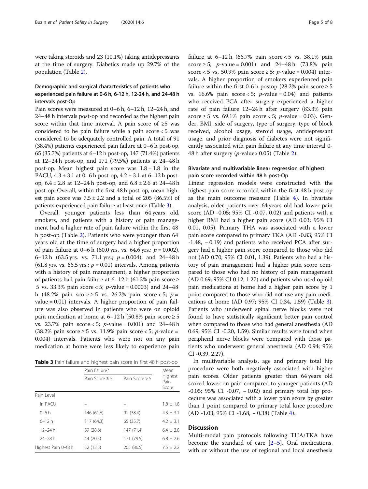were taking steroids and 23 (10.1%) taking antidepressants at the time of surgery. Diabetics made up 29.7% of the population (Table [2\)](#page-4-0).

### Demographic and surgical characteristics of patients who experienced pain failure at 0-6 h, 6-12 h, 12-24 h, and 24-48 h intervals post-Op

Pain scores were measured at 0–6 h, 6–12 h, 12–24 h, and 24–48 h intervals post-op and recorded as the highest pain score within that time interval. A pain score of ≥5 was considered to be pain failure while a pain score < 5 was considered to be adequately controlled pain. A total of 91 (38.4%) patients experienced pain failure at 0–6 h post-op, 65 (35.7%) patients at 6–12 h post-op, 147 (71.4%) patients at 12–24 h post-op, and 171 (79.5%) patients at 24–48 h post-op. Mean highest pain score was  $1.8 \pm 1.8$  in the PACU,  $4.3 \pm 3.1$  at 0–6 h post-op,  $4.2 \pm 3.1$  at 6–12 h postop, 6.4 ± 2.8 at 12–24 h post-op, and 6.8 ± 2.6 at 24–48 h post-op. Overall, within the first 48 h post-op, mean highest pain score was  $7.5 \pm 2.2$  and a total of 205 (86.5%) of patients experienced pain failure at least once (Table 3).

Overall, younger patients less than 64 years old, smokers, and patients with a history of pain management had a higher rate of pain failure within the first 48 h post-op (Table [2\)](#page-4-0). Patients who were younger than 64 years old at the time of surgery had a higher proportion of pain failure at  $0-6$  h (60.0 yrs. vs. 64.6 yrs.;  $p = 0.002$ ), 6–12 h (63.5 yrs. vs. 71.1 yrs.;  $p = 0.004$ ), and 24–48 h  $(61.8 \text{ yrs. vs. } 66.5 \text{ yrs.}; p = 0.01)$  intervals. Among patients with a history of pain management, a higher proportion of patients had pain failure at 6–12 h (61.3% pain score ≥ 5 vs. 33.3% pain score < 5; p-value = 0.0003) and 24–48 h (48.2% pain score ≥ 5 vs. 26.2% pain score < 5;  $p =$ value = 0.01) intervals. A higher proportion of pain failure was also observed in patients who were on opioid pain medication at home at  $6-12$  h (50.8% pain score  $\geq 5$ vs. 23.7% pain score < 5;  $p$ -value = 0.001) and 24–48 h (38.2% pain score  $\geq$  5 vs. 11.9% pain score < 5; p-value = 0.004) intervals. Patients who were not on any pain medication at home were less likely to experience pain

Table 3 Pain failure and highest pain score in first 48 h post-op

|                     | Pain Failure?       |                  | Mean                     |
|---------------------|---------------------|------------------|--------------------------|
|                     | Pain Score $\leq$ 5 | Pain Score $> 5$ | Highest<br>Pain<br>Score |
| Pain Level          |                     |                  |                          |
| In PACU             |                     |                  | $1.8 + 1.8$              |
| $0 - 6h$            | 146 (61.6)          | 91 (38.4)        | $4.3 + 3.1$              |
| $6 - 12h$           | 117 (64.3)          | 65 (35.7)        | $4.2 + 3.1$              |
| $12 - 24h$          | 59 (28.6)           | 147 (71.4)       | $6.4 \pm 2.8$            |
| $24 - 28h$          | 44 (20.5)           | 171 (79.5)       | $6.8 + 2.6$              |
| Highest Pain 0-48 h | 32 (13.5)           | 205 (86.5)       | $7.5 \pm 2.2$            |

failure at  $6-12h$  (66.7% pain score < 5 vs. 38.1% pain score  $\ge 5$ ; p-value = 0.001) and 24–48 h (73.8% pain score < 5 vs. 50.9% pain score  $\geq$  5; p-value = 0.004) intervals. A higher proportion of smokers experienced pain failure within the first 0-6 h postop (28.2% pain score  $\geq 5$ vs. 16.6% pain score < 5;  $p$ -value = 0.04) and patients who received PCA after surgery experienced a higher rate of pain failure 12–24 h after surgery (83.3% pain score  $\geq 5$  vs. 69.1% pain score < 5; p-value = 0.03). Gender, BMI, side of surgery, type of surgery, type of block received, alcohol usage, steroid usage, antidepressant usage, and prior diagnosis of diabetes were not significantly associated with pain failure at any time interval 0- 48 h after surgery ( $p$ -value> 0.05) (Table [2](#page-4-0)).

### Bivariate and multivariable linear regression of highest pain score recorded within 48 h post-Op

Linear regression models were constructed with the highest pain score recorded within the first 48 h post-op as the main outcome measure (Table [4](#page-7-0)). In bivariate analysis, older patients over 64 years old had lower pain score (AD -0.05; 95% CI -0.07, 0.02) and patients with a higher BMI had a higher pain score (AD 0.03; 95% CI 0.01, 0.05). Primary THA was associated with a lower pain score compared to primary TKA (AD -0.83; 95% CI -1.48, − 0.19) and patients who received PCA after surgery had a higher pain score compared to those who did not (AD 0.70; 95% CI 0.01, 1.39). Patients who had a history of pain management had a higher pain score compared to those who had no history of pain management (AD 0.69; 95% CI 0.12, 1.27) and patients who used opioid pain medications at home had a higher pain score by 1 point compared to those who did not use any pain medications at home (AD 0.97; 95% CI 0.34, 1.59) (Table 3). Patients who underwent spinal nerve blocks were not found to have statistically significant better pain control when compared to those who had general anesthesia (AD 0.69; 95% CI -0.20, 1.59). Similar results were found when peripheral nerve blocks were compared with those patients who underwent general anesthesia (AD 0.94; 95% CI -0.39, 2.27).

In multivariable analysis, age and primary total hip procedure were both negatively associated with higher pain scores. Older patients greater than 64 years old scored lower on pain compared to younger patients (AD -0.05; 95% CI -0.07, − 0.02) and primary total hip procedure was associated with a lower pain score by greater than 1 point compared to primary total knee procedure (AD -1.03; 95% CI -1.68, − 0.38) (Table [4](#page-7-0)).

#### **Discussion**

Multi-modal pain protocols following THA/TKA have become the standard of care  $[2-5]$  $[2-5]$  $[2-5]$  $[2-5]$ . Oral medications, with or without the use of regional and local anesthesia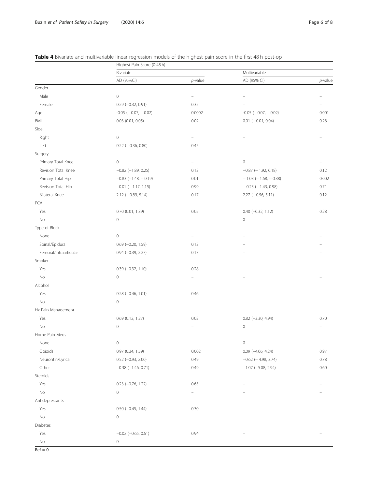## <span id="page-7-0"></span>Table 4 Bivariate and multivariable linear regression models of the highest pain score in the first 48 h post-op

|                        | Highest Pain Score (0-48 h)   |                          |                               |                          |
|------------------------|-------------------------------|--------------------------|-------------------------------|--------------------------|
|                        | Bivariate                     |                          | Multivariable                 |                          |
|                        | AD (95%CI)                    | $p$ -value               | AD (95% CI)                   | $p$ -value               |
| Gender                 |                               |                          |                               |                          |
| Male                   | $\mathbf 0$                   | $\overline{\phantom{a}}$ |                               |                          |
| Female                 | $0.29 (-0.32, 0.91)$          | 0.35                     |                               |                          |
| Age                    | $-0.05$ ( $-0.07$ , $-0.02$ ) | 0.0002                   | $-0.05$ ( $-0.07$ , $-0.02$ ) | 0.001                    |
| BMI                    | $0.03$ $(0.01, 0.05)$         | 0.02                     | $0.01 (-0.01, 0.04)$          | 0.28                     |
| Side                   |                               |                          |                               |                          |
| Right                  | $\mathbf 0$                   |                          |                               |                          |
| Left                   | $0.22$ (-0.36, 0.80)          | 0.45                     |                               |                          |
| Surgery                |                               |                          |                               |                          |
| Primary Total Knee     | $\mathbf 0$                   | $\overline{\phantom{a}}$ | $\mathbf 0$                   |                          |
| Revision Total Knee    | $-0.82$ (-1.89, 0.25)         | 0.13                     | $-0.87$ ( $-1.92$ , 0.18)     | 0.12                     |
| Primary Total Hip      | $-0.83$ $(-1.48, -0.19)$      | 0.01                     | $-1.03$ ( $-1.68$ , $-0.38$ ) | 0.002                    |
| Revision Total Hip     | $-0.01$ ( $-1.17$ , 1.15)     | 0.99                     | $-0.23$ ( $-1.43$ , 0.98)     | 0.71                     |
| <b>Bilateral Knee</b>  | $2.12$ (-0.89, 5.14)          | 0.17                     | $2.27$ (-0.56, 5.11)          | 0.12                     |
| PCA                    |                               |                          |                               |                          |
| Yes                    | 0.70 (0.01, 1.39)             | 0.05                     | $0.40 (-0.32, 1.12)$          | 0.28                     |
| No                     | $\mathbf 0$                   |                          | $\mathbf 0$                   |                          |
| Type of Block          |                               |                          |                               |                          |
| None                   | $\mathbf 0$                   |                          |                               |                          |
| Spinal/Epidural        | $0.69$ (-0.20, 1.59)          | 0.13                     |                               |                          |
| Femoral/Intraarticular | $0.94 (-0.39, 2.27)$          | 0.17                     |                               |                          |
| Smoker                 |                               |                          |                               |                          |
| Yes                    | $0.39 (-0.32, 1.10)$          | 0.28                     |                               |                          |
| No                     | $\mathbf 0$                   |                          |                               |                          |
| Alcohol                |                               |                          |                               |                          |
| Yes                    | $0.28 (-0.46, 1.01)$          | 0.46                     |                               |                          |
| No                     | $\mathbf 0$                   |                          |                               |                          |
| Hx Pain Management     |                               |                          |                               |                          |
| Yes                    | $0.69$ (0.12, 1.27)           | 0.02                     | $0.82$ (-3.30, 4.94)          | 0.70                     |
| No                     | $\mathbf 0$                   |                          | $\mathbf 0$                   |                          |
| Home Pain Meds         |                               |                          |                               |                          |
| None                   | $\mathbf 0$                   | $\overline{\phantom{a}}$ | $\mathbb O$                   | $\overline{\phantom{a}}$ |
| Opioids                | 0.97 (0.34, 1.59)             | 0.002                    | $0.09$ (-4.06, 4.24)          | 0.97                     |
| Neurontin/Lyrica       | $0.52 (-0.93, 2.00)$          | 0.49                     | $-0.62$ ( $-4.98$ , 3.74)     | 0.78                     |
| Other                  | $-0.38$ $(-1.46, 0.71)$       | 0.49                     | $-1.07$ (-5.08, 2.94)         | 0.60                     |
| Steroids               |                               |                          |                               |                          |
| Yes                    | $0.23 (-0.76, 1.22)$          | 0.65                     |                               |                          |
| No                     | $\mathbf 0$                   |                          |                               |                          |
| Antidepressants        |                               |                          |                               |                          |
| Yes                    | $0.50 (-0.45, 1.44)$          | 0.30                     |                               |                          |
| $\rm No$               | $\,0\,$                       |                          |                               |                          |
| Diabetes               |                               |                          |                               |                          |
| Yes                    | $-0.02$ $(-0.65, 0.61)$       | 0.94                     |                               |                          |
| $\rm No$               | $\mathbf 0$                   |                          |                               |                          |
|                        |                               |                          |                               |                          |

 $Ref = 0$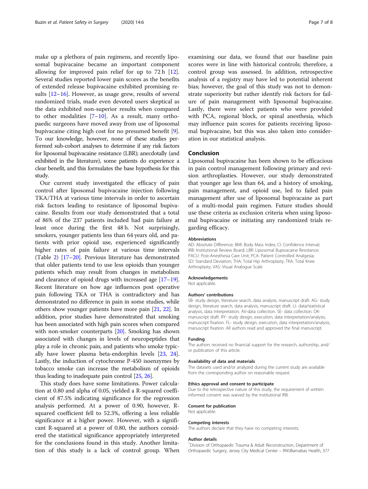make up a plethora of pain regimens, and recently liposomal bupivacaine became an important component allowing for improved pain relief for up to 72 h [\[12](#page-9-0)]. Several studies reported lower pain scores as the benefits of extended release bupivacaine exhibited promising results [[12](#page-9-0)–[16](#page-9-0)]. However, as usage grew, results of several randomized trials, made even devoted users skeptical as the data exhibited non-superior results when compared to other modalities  $[7-10]$  $[7-10]$  $[7-10]$ . As a result, many orthopaedic surgeons have moved away from use of liposomal bupivacaine citing high cost for no presumed benefit [\[9](#page-9-0)]. To our knowledge, however, none of these studies performed sub-cohort analyses to determine if any risk factors for liposomal bupivacaine resistance (LBR); anecdotally (and exhibited in the literature), some patients do experience a clear benefit, and this formulates the base hypothesis for this study.

Our current study investigated the efficacy of pain control after liposomal bupivacaine injection following TKA/THA at various time intervals in order to ascertain risk factors leading to resistance of liposomal bupivacaine. Results from our study demonstrated that a total of 86% of the 237 patients included had pain failure at least once during the first 48 h. Not surprisingly, smokers, younger patients less than 64 years old, and patients with prior opioid use, experienced significantly higher rates of pain failure at various time intervals (Table [2\)](#page-4-0) [\[17](#page-9-0)–[20\]](#page-9-0). Previous literature has demonstrated that older patients tend to use less opioids than younger patients which may result from changes in metabolism and clearance of opioid drugs with increased age [\[17](#page-9-0)–[19](#page-9-0)]. Recent literature on how age influences post operative pain following TKA or THA is contradictory and has demonstrated no difference in pain in some studies, while others show younger patients have more pain [[21](#page-9-0), [22](#page-9-0)]. In addition, prior studies have demonstrated that smoking has been associated with high pain scores when compared with non-smoker counterparts [[20\]](#page-9-0). Smoking has shown associated with changes in levels of neuropeptides that play a role in chronic pain, and patients who smoke typically have lower plasma beta-endorphin levels [\[23](#page-9-0), [24](#page-9-0)]. Lastly, the induction of cytochrome P-450 isoenzymes by tobacco smoke can increase the metabolism of opioids thus leading to inadequate pain control [\[25,](#page-9-0) [26](#page-9-0)].

This study does have some limitations. Power calculation at 0.80 and alpha of 0.05, yielded a R-squared coefficient of 87.5% indicating significance for the regression analysis performed. At a power of 0.90, however, Rsquared coefficient fell to 52.3%, offering a less reliable significance at a higher power. However, with a significant R-squared at a power of 0.80, the authors considered the statistical significance appropriately interpreted for the conclusions found in this study. Another limitation of this study is a lack of control group. When examining our data, we found that our baseline pain scores were in line with historical controls; therefore, a control group was assessed. In addition, retrospective analysis of a registry may have led to potential inherent bias; however, the goal of this study was not to demonstrate superiority but rather identify risk factors for failure of pain management with liposomal bupivacaine. Lastly, there were select patients who were provided with PCA, regional block, or spinal anesthesia, which may influence pain scores for patients receiving liposomal bupivacaine, but this was also taken into consideration in our statistical analysis.

#### Conclusion

Liposomal bupivacaine has been shown to be efficacious in pain control management following primary and revision arthroplasties. However, our study demonstrated that younger age less than 64, and a history of smoking, pain management, and opioid use, led to failed pain management after use of liposomal bupivacaine as part of a multi-modal pain regimen. Future studies should use these criteria as exclusion criteria when using liposomal bupivacaine or initiating any randomized trials regarding efficacy.

#### Abbreviations

AD: Absolute Difference; BMI: Body Mass Index; CI: Confidence Interval; IRB: Institutional Review Board; LBR: Liposomal Bupivacaine Resistance; PACU: Post-Anesthesia Care Unit; PCA: Patient Controlled Analgesia; SD: Standard Deviation; THA: Total Hip Arthroplasty; TKA: Total Knee Arthroplasty; VAS: Visual Analogue Scale

#### Acknowledgements

Not applicable.

#### Authors' contributions

SB- study design, literature search, data analysis, manuscript draft. AG- study design, literature search, data analysis, manuscript draft. LI- data/statistical analysis, data interpretation. AV-data collection. SE- data collection. DKmanuscript draft. RY- study design, execution, data interpretation/analysis, manuscript fixation. FL- study design, execution, data interpretation/analysis, manuscript fixation. All authors read and approved the final manuscript.

#### Funding

The authors received no financial support for the research, authorship, and/ or publication of this article.

#### Availability of data and materials

The datasets used and/or analyzed during the current study are available from the corresponding author on reasonable request.

#### Ethics approval and consent to participate

Due to the retrospective nature of this study, the requirement of written informed consent was waived by the institutional IRB.

#### Consent for publication

Not applicable.

#### Competing interests

The authors declare that they have no competing interests.

#### Author details

<sup>1</sup> Division of Orthopaedic Trauma & Adult Reconstruction, Department of Orthopaedic Surgery, Jersey City Medical Center – RWJBarnabas Health, 377